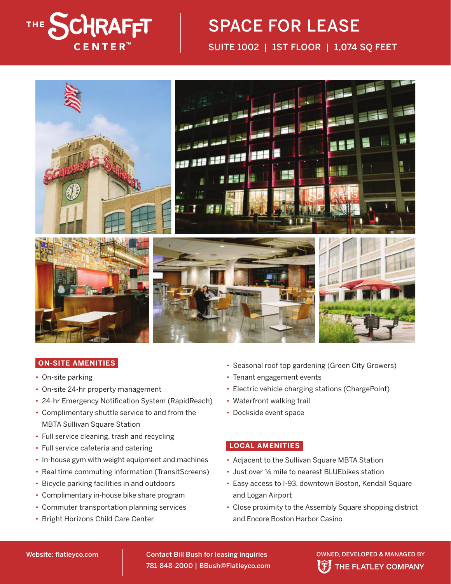

## SPACE FOR LEASE SUITE 1002 | 1ST FLOOR | 1,074 SQ FEET



## **ON-SITE AMENITIES**

- On-site parking
- On-site 24-hr property management
- 24-hr Emergency Notification System (RapidReach)
- Complimentary shuttle service to and from the MBTA Sullivan Square Station
- Full service cleaning, trash and recycling
- Full service cafeteria and catering
- In-house gym with weight equipment and machines
- Real time commuting information (TransitScreens)
- Bicycle parking facilities in and outdoors
- Complimentary in-house bike share program
- Commuter transportation planning services
- Bright Horizons Child Care Center
- Seasonal roof top gardening (Green City Growers)
- Tenant engagement events
- Electric vehicle charging stations (ChargePoint)
- Waterfront walking trail
- Dockside event space

## **LOCAL AMENITIES**

- Adiacent to the Sullivan Square MBTA Station
- Just over ¼ mile to nearest BLUEbikes station
- Easy access to I-93, downtown Boston, Kendall Square and Logan Airport
- Close proximity to the Assembly Square shopping district and Encore Boston Harbor Casino

781-848-2000 | BBush@Flatleyco.com